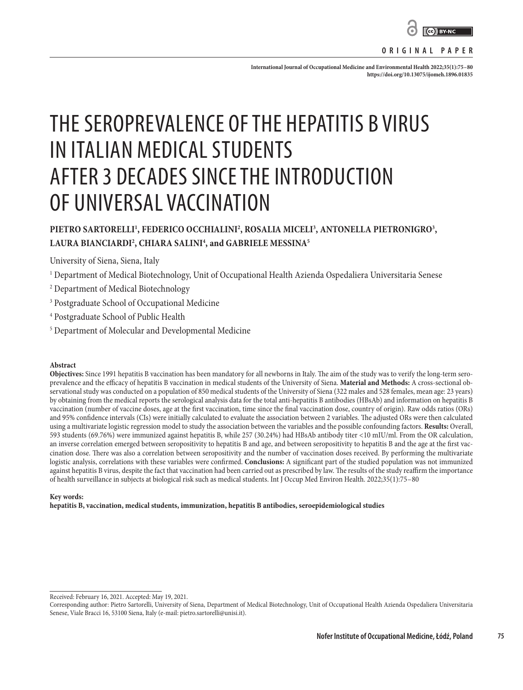

**ORIGINAL PAPER**

**International Journal of Occupational Medicine and Environmental Health 2022;35(1):75–80 <https://doi.org/10.13075/ijomeh.1896.01835>**

# THE SEROPREVALENCE OF THE HEPATITIS B VIRUS IN ITALIAN MEDICAL STUDENTS AFTER 3 DECADES SINCE THE INTRODUCTION OF UNIVERSAL VACCINATION

# PIETRO SARTORELLI<sup>1</sup>, FEDERICO OCCHIALINI<sup>2</sup>, ROSALIA MICELI<sup>3</sup>, ANTONELLA PIETRONIGRO<sup>3</sup>, **LAURA BIANCIARDI2 , CHIARA SALINI4 , and GABRIELE MESSINA5**

University of Siena, Siena, Italy

- $^{\rm 1}$  Department of Medical Biotechnology, Unit of Occupational Health Azienda Ospedaliera Universitaria Senese
- 2 Department of Medical Biotechnology
- 3 Postgraduate School of Occupational Medicine
- 4 Postgraduate School of Public Health
- 5 Department of Molecular and Developmental Medicine

#### **Abstract**

**Objectives:** Since 1991 hepatitis B vaccination has been mandatory for all newborns in Italy. The aim of the study was to verify the long-term seroprevalence and the efficacy of hepatitis B vaccination in medical students of the University of Siena. **Material and Methods:** A cross-sectional observational study was conducted on a population of 850 medical students of the University of Siena (322 males and 528 females, mean age: 23 years) by obtaining from the medical reports the serological analysis data for the total anti-hepatitis B antibodies (HBsAb) and information on hepatitis B vaccination (number of vaccine doses, age at the first vaccination, time since the final vaccination dose, country of origin). Raw odds ratios (ORs) and 95% confidence intervals (CIs) were initially calculated to evaluate the association between 2 variables. The adjusted ORs were then calculated using a multivariate logistic regression model to study the association between the variables and the possible confounding factors. **Results:** Overall, 593 students (69.76%) were immunized against hepatitis B, while 257 (30.24%) had HBsAb antibody titer <10 mIU/ml. From the OR calculation, an inverse correlation emerged between seropositivity to hepatitis B and age, and between seropositivity to hepatitis B and the age at the first vaccination dose. There was also a correlation between seropositivity and the number of vaccination doses received. By performing the multivariate logistic analysis, correlations with these variables were confirmed. **Conclusions:** A significant part of the studied population was not immunized against hepatitis B virus, despite the fact that vaccination had been carried out as prescribed by law. The results of the study reaffirm the importance of health surveillance in subjects at biological risk such as medical students. Int J Occup Med Environ Health. 2022;35(1):75–80

#### **Key words:**

**hepatitis B, vaccination, medical students, immunization, hepatitis B antibodies, seroepidemiological studies**

Received: February 16, 2021. Accepted: May 19, 2021.

Corresponding author: Pietro Sartorelli, University of Siena, Department of Medical Biotechnology, Unit of Occupational Health Azienda Ospedaliera Universitaria Senese, Viale Bracci 16, 53100 Siena, Italy (e-mail: pietro.sartorelli@unisi.it).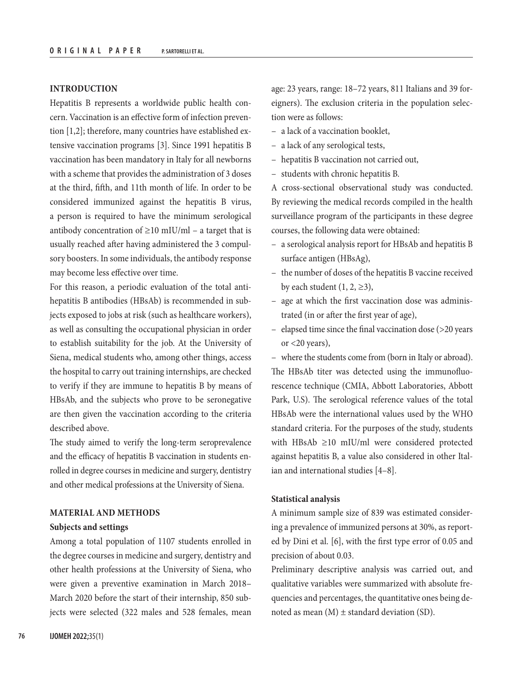# **INTRODUCTION**

Hepatitis B represents a worldwide public health concern. Vaccination is an effective form of infection prevention [1,2]; therefore, many countries have established extensive vaccination programs [3]. Since 1991 hepatitis B vaccination has been mandatory in Italy for all newborns with a scheme that provides the administration of 3 doses at the third, fifth, and 11th month of life. In order to be considered immunized against the hepatitis B virus, a person is required to have the minimum serological antibody concentration of  $\geq 10$  mIU/ml – a target that is usually reached after having administered the 3 compulsory boosters. In some individuals, the antibody response may become less effective over time.

For this reason, a periodic evaluation of the total antihepatitis B antibodies (HBsAb) is recommended in subjects exposed to jobs at risk (such as healthcare workers), as well as consulting the occupational physician in order to establish suitability for the job. At the University of Siena, medical students who, among other things, access the hospital to carry out training internships, are checked to verify if they are immune to hepatitis B by means of HBsAb, and the subjects who prove to be seronegative are then given the vaccination according to the criteria described above.

The study aimed to verify the long-term seroprevalence and the efficacy of hepatitis B vaccination in students enrolled in degree courses in medicine and surgery, dentistry and other medical professions at the University of Siena.

# **MATERIAL AND METHODS**

# **Subjects and settings**

Among a total population of 1107 students enrolled in the degree courses in medicine and surgery, dentistry and other health professions at the University of Siena, who were given a preventive examination in March 2018– March 2020 before the start of their internship, 850 subjects were selected (322 males and 528 females, mean age: 23 years, range: 18–72 years, 811 Italians and 39 foreigners). The exclusion criteria in the population selection were as follows:

- a lack of a vaccination booklet,
- a lack of any serological tests,
- hepatitis B vaccination not carried out,
- students with chronic hepatitis B.

A cross-sectional observational study was conducted. By reviewing the medical records compiled in the health surveillance program of the participants in these degree courses, the following data were obtained:

- a serological analysis report for HBsAb and hepatitis B surface antigen (HBsAg),
- the number of doses of the hepatitis B vaccine received by each student  $(1, 2, \geq 3)$ ,
- age at which the first vaccination dose was administrated (in or after the first year of age),
- elapsed time since the final vaccination dose (>20 years or <20 years),

– where the students come from (born in Italy or abroad). The HBsAb titer was detected using the immunofluorescence technique (CMIA, Abbott Laboratories, Abbott Park, U.S). The serological reference values of the total HBsAb were the international values used by the WHO standard criteria. For the purposes of the study, students with HBsAb ≥10 mIU/ml were considered protected against hepatitis B, a value also considered in other Italian and international studies [4–8].

#### **Statistical analysis**

A minimum sample size of 839 was estimated considering a prevalence of immunized persons at 30%, as reported by Dini et al. [6], with the first type error of 0.05 and precision of about 0.03.

Preliminary descriptive analysis was carried out, and qualitative variables were summarized with absolute frequencies and percentages, the quantitative ones being denoted as mean  $(M)$   $\pm$  standard deviation (SD).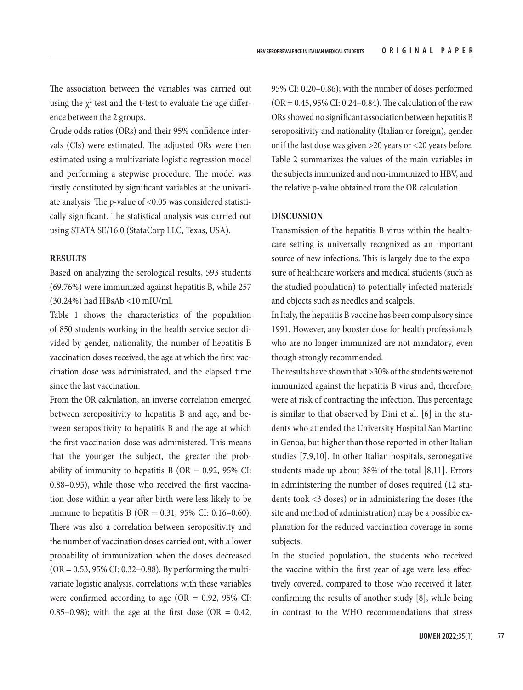The association between the variables was carried out using the  $\chi^2$  test and the t-test to evaluate the age difference between the 2 groups.

Crude odds ratios (ORs) and their 95% confidence intervals (CIs) were estimated. The adjusted ORs were then estimated using a multivariate logistic regression model and performing a stepwise procedure. The model was firstly constituted by significant variables at the univariate analysis. The p-value of <0.05 was considered statistically significant. The statistical analysis was carried out using STATA SE/16.0 (StataCorp LLC, Texas, USA).

# **RESULTS**

Based on analyzing the serological results, 593 students (69.76%) were immunized against hepatitis B, while 257 (30.24%) had HBsAb <10 mIU/ml.

Table 1 shows the characteristics of the population of 850 students working in the health service sector divided by gender, nationality, the number of hepatitis B vaccination doses received, the age at which the first vaccination dose was administrated, and the elapsed time since the last vaccination.

From the OR calculation, an inverse correlation emerged between seropositivity to hepatitis B and age, and between seropositivity to hepatitis B and the age at which the first vaccination dose was administered. This means that the younger the subject, the greater the probability of immunity to hepatitis B ( $OR = 0.92$ , 95% CI: 0.88–0.95), while those who received the first vaccination dose within a year after birth were less likely to be immune to hepatitis  $B(OR = 0.31, 95\% CI: 0.16-0.60)$ . There was also a correlation between seropositivity and the number of vaccination doses carried out, with a lower probability of immunization when the doses decreased  $(OR = 0.53, 95\% \text{ CI: } 0.32 - 0.88)$ . By performing the multivariate logistic analysis, correlations with these variables were confirmed according to age ( $OR = 0.92$ ,  $95\%$  CI: 0.85–0.98); with the age at the first dose (OR  $= 0.42$ , 95% CI: 0.20–0.86); with the number of doses performed (OR = 0.45, 95% CI: 0.24–0.84). The calculation of the raw ORs showed no significant association between hepatitis B seropositivity and nationality (Italian or foreign), gender or if the last dose was given >20 years or <20 years before. Table 2 summarizes the values of the main variables in the subjects immunized and non-immunized to HBV, and the relative p-value obtained from the OR calculation.

### **DISCUSSION**

Transmission of the hepatitis B virus within the healthcare setting is universally recognized as an important source of new infections. This is largely due to the exposure of healthcare workers and medical students (such as the studied population) to potentially infected materials and objects such as needles and scalpels.

In Italy, the hepatitis B vaccine has been compulsory since 1991. However, any booster dose for health professionals who are no longer immunized are not mandatory, even though strongly recommended.

The results have shown that >30% of the students were not immunized against the hepatitis B virus and, therefore, were at risk of contracting the infection. This percentage is similar to that observed by Dini et al. [6] in the students who attended the University Hospital San Martino in Genoa, but higher than those reported in other Italian studies [7,9,10]. In other Italian hospitals, seronegative students made up about 38% of the total [8,11]. Errors in administering the number of doses required (12 students took <3 doses) or in administering the doses (the site and method of administration) may be a possible explanation for the reduced vaccination coverage in some subjects.

In the studied population, the students who received the vaccine within the first year of age were less effectively covered, compared to those who received it later, confirming the results of another study [8], while being in contrast to the WHO recommendations that stress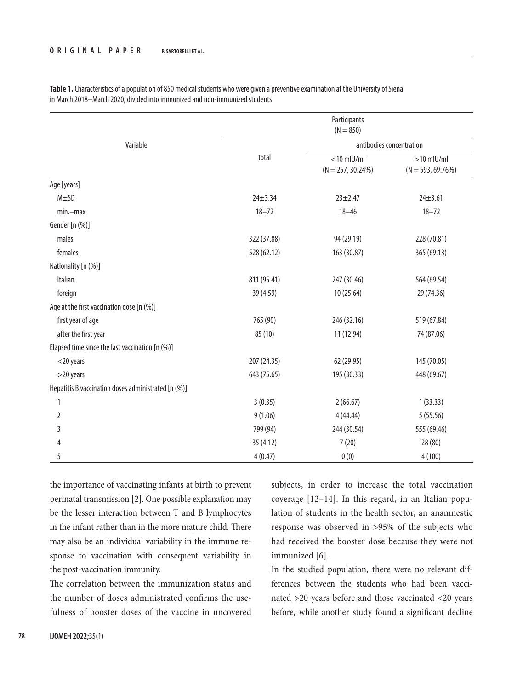|                                                     | Participants<br>$(N = 850)$ |                                       |                                     |  |
|-----------------------------------------------------|-----------------------------|---------------------------------------|-------------------------------------|--|
| Variable                                            |                             | antibodies concentration              |                                     |  |
|                                                     | total                       | $<$ 10 mIU/mI<br>$(N = 257, 30.24\%)$ | $>10$ mlU/ml<br>$(N = 593, 69.76%)$ |  |
| Age [years]                                         |                             |                                       |                                     |  |
| $M \pm SD$                                          | $24 + 3.34$                 | $23 + 2.47$                           | $24 \pm 3.61$                       |  |
| $min$ -max                                          | $18 - 72$                   | $18 - 46$                             | $18 - 72$                           |  |
| Gender [n (%)]                                      |                             |                                       |                                     |  |
| males                                               | 322 (37.88)                 | 94 (29.19)                            | 228 (70.81)                         |  |
| females                                             | 528 (62.12)                 | 163 (30.87)                           | 365 (69.13)                         |  |
| Nationality [n (%)]                                 |                             |                                       |                                     |  |
| Italian                                             | 811 (95.41)                 | 247 (30.46)                           | 564 (69.54)                         |  |
| foreign                                             | 39 (4.59)                   | 10 (25.64)                            | 29 (74.36)                          |  |
| Age at the first vaccination dose [n (%)]           |                             |                                       |                                     |  |
| first year of age                                   | 765 (90)                    | 246 (32.16)                           | 519 (67.84)                         |  |
| after the first year                                | 85 (10)                     | 11 (12.94)                            | 74 (87.06)                          |  |
| Elapsed time since the last vaccination [n (%)]     |                             |                                       |                                     |  |
| $<$ 20 years                                        | 207 (24.35)                 | 62 (29.95)                            | 145 (70.05)                         |  |
| $>$ 20 years                                        | 643 (75.65)                 | 195 (30.33)                           | 448 (69.67)                         |  |
| Hepatitis B vaccination doses administrated [n (%)] |                             |                                       |                                     |  |
| 1                                                   | 3(0.35)                     | 2(66.67)                              | 1(33.33)                            |  |
| 2                                                   | 9(1.06)                     | 4(44.44)                              | 5(55.56)                            |  |
| 3                                                   | 799 (94)                    | 244 (30.54)                           | 555 (69.46)                         |  |
| 4                                                   | 35 (4.12)                   | 7(20)                                 | 28 (80)                             |  |
| 5                                                   | 4(0.47)                     | 0(0)                                  | 4(100)                              |  |

**Table 1.** Characteristics of a population of 850 medical students who were given a preventive examination at the University of Siena in March 2018–March 2020, divided into immunized and non-immunized students

the importance of vaccinating infants at birth to prevent perinatal transmission [2]. One possible explanation may be the lesser interaction between T and B lymphocytes in the infant rather than in the more mature child. There may also be an individual variability in the immune response to vaccination with consequent variability in the post-vaccination immunity.

The correlation between the immunization status and the number of doses administrated confirms the usefulness of booster doses of the vaccine in uncovered subjects, in order to increase the total vaccination coverage [12–14]. In this regard, in an Italian population of students in the health sector, an anamnestic response was observed in >95% of the subjects who had received the booster dose because they were not immunized [6].

In the studied population, there were no relevant differences between the students who had been vaccinated >20 years before and those vaccinated <20 years before, while another study found a significant decline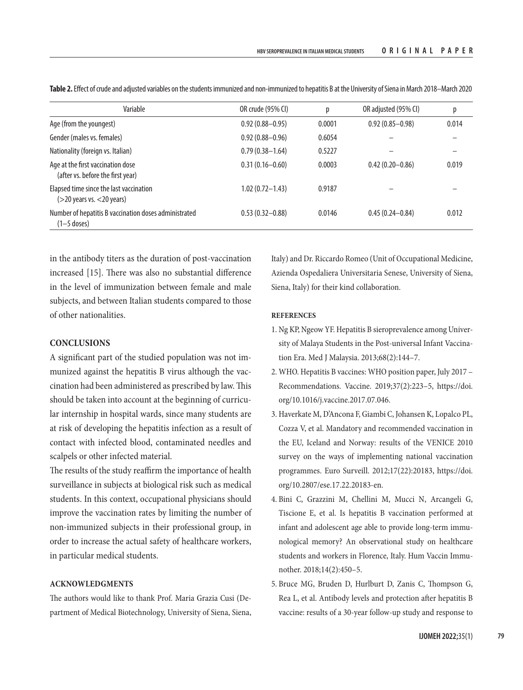| Variable                                                                   | OR crude (95% CI)   | р      | OR adjusted (95% CI) | р     |
|----------------------------------------------------------------------------|---------------------|--------|----------------------|-------|
| Age (from the youngest)                                                    | $0.92(0.88 - 0.95)$ | 0.0001 | $0.92(0.85 - 0.98)$  | 0.014 |
| Gender (males vs. females)                                                 | $0.92(0.88 - 0.96)$ | 0.6054 |                      |       |
| Nationality (foreign vs. Italian)                                          | $0.79(0.38 - 1.64)$ | 0.5227 |                      |       |
| Age at the first vaccination dose<br>(after vs. before the first year)     | $0.31(0.16 - 0.60)$ | 0.0003 | $0.42(0.20 - 0.86)$  | 0.019 |
| Elapsed time since the last vaccination<br>$($ >20 years vs. $<$ 20 years) | $1.02(0.72 - 1.43)$ | 0.9187 |                      |       |
| Number of hepatitis B vaccination doses administrated<br>$(1-5$ doses)     | $0.53(0.32 - 0.88)$ | 0.0146 | $0.45(0.24 - 0.84)$  | 0.012 |

**Table 2.** Effect of crude and adjusted variables on the students immunized and non-immunized to hepatitis B at the University of Siena in March 2018–March 2020

in the antibody titers as the duration of post-vaccination increased [15]. There was also no substantial difference in the level of immunization between female and male subjects, and between Italian students compared to those of other nationalities.

# **CONCLUSIONS**

A significant part of the studied population was not immunized against the hepatitis B virus although the vaccination had been administered as prescribed by law. This should be taken into account at the beginning of curricular internship in hospital wards, since many students are at risk of developing the hepatitis infection as a result of contact with infected blood, contaminated needles and scalpels or other infected material.

The results of the study reaffirm the importance of health surveillance in subjects at biological risk such as medical students. In this context, occupational physicians should improve the vaccination rates by limiting the number of non-immunized subjects in their professional group, in order to increase the actual safety of healthcare workers, in particular medical students.

# **ACKNOWLEDGMENTS**

The authors would like to thank Prof. Maria Grazia Cusi (Department of Medical Biotechnology, University of Siena, Siena, Italy) and Dr. Riccardo Romeo (Unit of Occupational Medicine, Azienda Ospedaliera Universitaria Senese, University of Siena, Siena, Italy) for their kind collaboration.

# **REFERENCES**

- 1. Ng KP, Ngeow YF. Hepatitis B sieroprevalence among University of Malaya Students in the Post-universal Infant Vaccination Era. Med J Malaysia. 2013;68(2):144–7.
- 2. WHO. Hepatitis B vaccines: WHO position paper, July 2017 Recommendations. Vaccine. 2019;37(2):223–5, [https://doi.](https://doi.org/10.1016/j.vaccine.2017.07.046) [org/10.1016/j.vaccine.2017.07.046.](https://doi.org/10.1016/j.vaccine.2017.07.046)
- 3. Haverkate M, D'Ancona F, Giambi C, Johansen K, Lopalco PL, Cozza V, et al. Mandatory and recommended vaccination in the EU, Iceland and Norway: results of the VENICE 2010 survey on the ways of implementing national vaccination programmes. Euro Surveill. 2012;17(22):20183, [https://doi.](https://doi.org/10.2807/ese.17.22.20183-en) [org/10.2807/ese.17.22.20183-en](https://doi.org/10.2807/ese.17.22.20183-en).
- 4. Bini C, Grazzini M, Chellini M, Mucci N, Arcangeli G, Tiscione E, et al. Is hepatitis B vaccination performed at infant and adolescent age able to provide long-term immunological memory? An observational study on healthcare students and workers in Florence, Italy. Hum Vaccin Immunother. 2018;14(2):450–5.
- 5. Bruce MG, Bruden D, Hurlburt D, Zanis C, Thompson G, Rea L, et al. Antibody levels and protection after hepatitis B vaccine: results of a 30-year follow-up study and response to